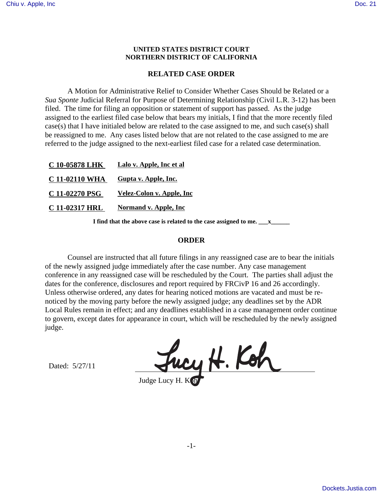## **UNITED STATES DISTRICT COURT NORTHERN DISTRICT OF CALIFORNIA**

## **RELATED CASE ORDER**

A Motion for Administrative Relief to Consider Whether Cases Should be Related or a *Sua Sponte* Judicial Referral for Purpose of Determining Relationship (Civil L.R. 3-12) has been filed. The time for filing an opposition or statement of support has passed. As the judge assigned to the earliest filed case below that bears my initials, I find that the more recently filed case(s) that I have initialed below are related to the case assigned to me, and such case(s) shall be reassigned to me. Any cases listed below that are not related to the case assigned to me are referred to the judge assigned to the next-earliest filed case for a related case determination.

**I find that the above case is related to the case assigned to me. \_\_\_x\_\_\_\_\_\_**

## **ORDER**

Counsel are instructed that all future filings in any reassigned case are to bear the initials of the newly assigned judge immediately after the case number. Any case management conference in any reassigned case will be rescheduled by the Court. The parties shall adjust the dates for the conference, disclosures and report required by FRCivP 16 and 26 accordingly. Unless otherwise ordered, any dates for hearing noticed motions are vacated and must be renoticed by the moving party before the newly assigned judge; any deadlines set by the ADR Local Rules remain in effect; and any deadlines established in a case management order continue to govern, except dates for appearance in court, which will be rescheduled by the newly assigned judge.

Dated: 5/27/11

Fucy H. Koh Judge Lucy H.